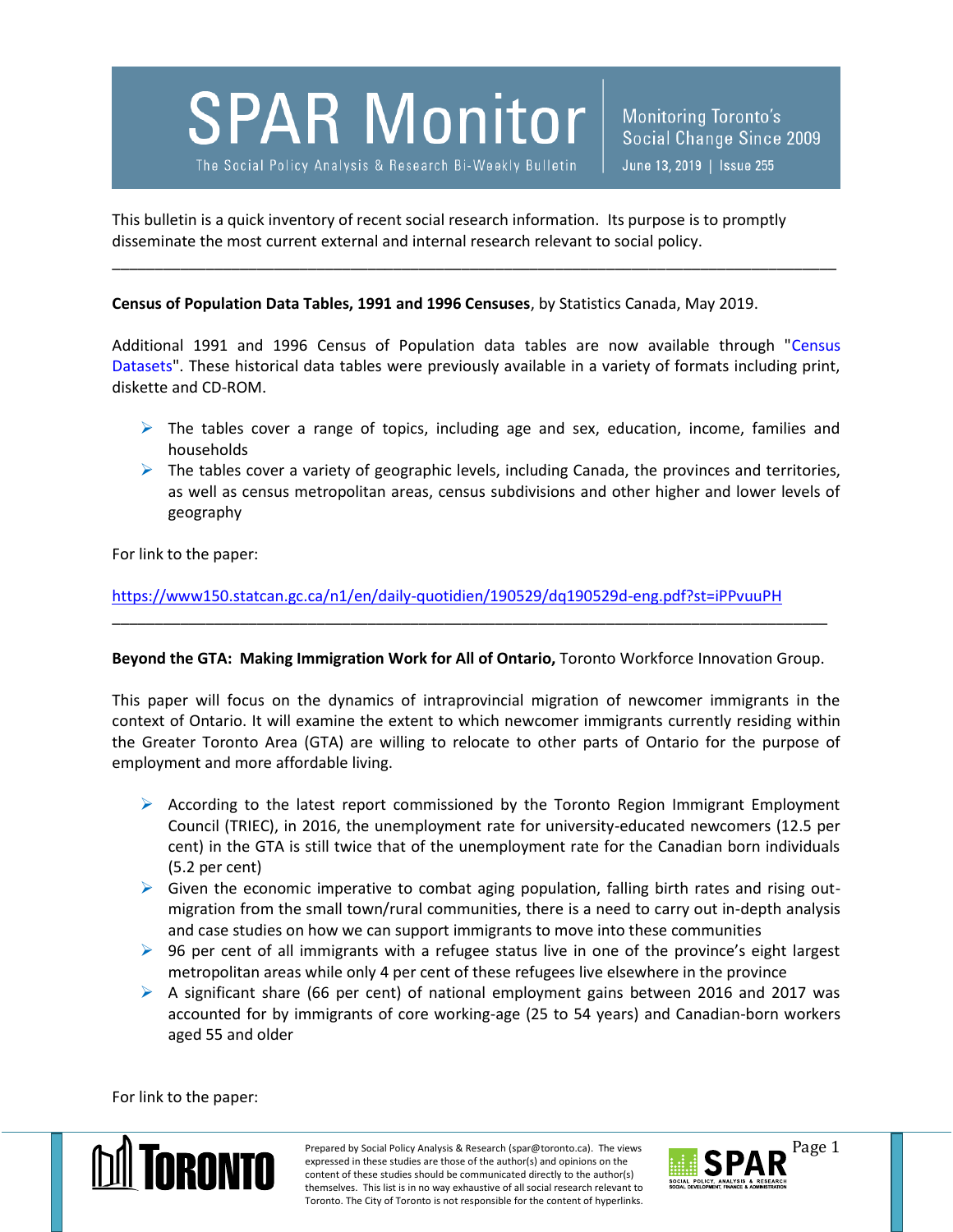## **SPAR Monitor**

The Social Policy Analysis & Research Bi-Weekly Bulletin

This bulletin is a quick inventory of recent social research information. Its purpose is to promptly disseminate the most current external and internal research relevant to social policy.

**Census of Population Data Tables, 1991 and 1996 Censuses**, by Statistics Canada, May 2019.

Additional 1991 and 1996 Census of Population data tables are now available through "Census Datasets". These historical data tables were previously available in a variety of formats including print, diskette and CD-ROM.

\_\_\_\_\_\_\_\_\_\_\_\_\_\_\_\_\_\_\_\_\_\_\_\_\_\_\_\_\_\_\_\_\_\_\_\_\_\_\_\_\_\_\_\_\_\_\_\_\_\_\_\_\_\_\_\_\_\_\_\_\_\_\_\_\_\_\_\_\_\_\_\_\_\_\_\_\_\_\_\_\_\_\_\_\_

- $\triangleright$  The tables cover a range of topics, including age and sex, education, income, families and households
- $\triangleright$  The tables cover a variety of geographic levels, including Canada, the provinces and territories, as well as census metropolitan areas, census subdivisions and other higher and lower levels of geography

For link to the paper:

<https://www150.statcan.gc.ca/n1/en/daily-quotidien/190529/dq190529d-eng.pdf?st=iPPvuuPH>

## **Beyond the GTA: Making Immigration Work for All of Ontario,** Toronto Workforce Innovation Group.

\_\_\_\_\_\_\_\_\_\_\_\_\_\_\_\_\_\_\_\_\_\_\_\_\_\_\_\_\_\_\_\_\_\_\_\_\_\_\_\_\_\_\_\_\_\_\_\_\_\_\_\_\_\_\_\_\_\_\_\_\_\_\_\_\_\_\_\_\_\_\_\_\_\_\_\_\_\_\_\_\_\_\_\_

This paper will focus on the dynamics of intraprovincial migration of newcomer immigrants in the context of Ontario. It will examine the extent to which newcomer immigrants currently residing within the Greater Toronto Area (GTA) are willing to relocate to other parts of Ontario for the purpose of employment and more affordable living.

- $\triangleright$  According to the latest report commissioned by the Toronto Region Immigrant Employment Council (TRIEC), in 2016, the unemployment rate for university-educated newcomers (12.5 per cent) in the GTA is still twice that of the unemployment rate for the Canadian born individuals (5.2 per cent)
- $\triangleright$  Given the economic imperative to combat aging population, falling birth rates and rising outmigration from the small town/rural communities, there is a need to carry out in-depth analysis and case studies on how we can support immigrants to move into these communities
- $\triangleright$  96 per cent of all immigrants with a refugee status live in one of the province's eight largest metropolitan areas while only 4 per cent of these refugees live elsewhere in the province
- $\triangleright$  A significant share (66 per cent) of national employment gains between 2016 and 2017 was accounted for by immigrants of core working-age (25 to 54 years) and Canadian-born workers aged 55 and older

For link to the paper:



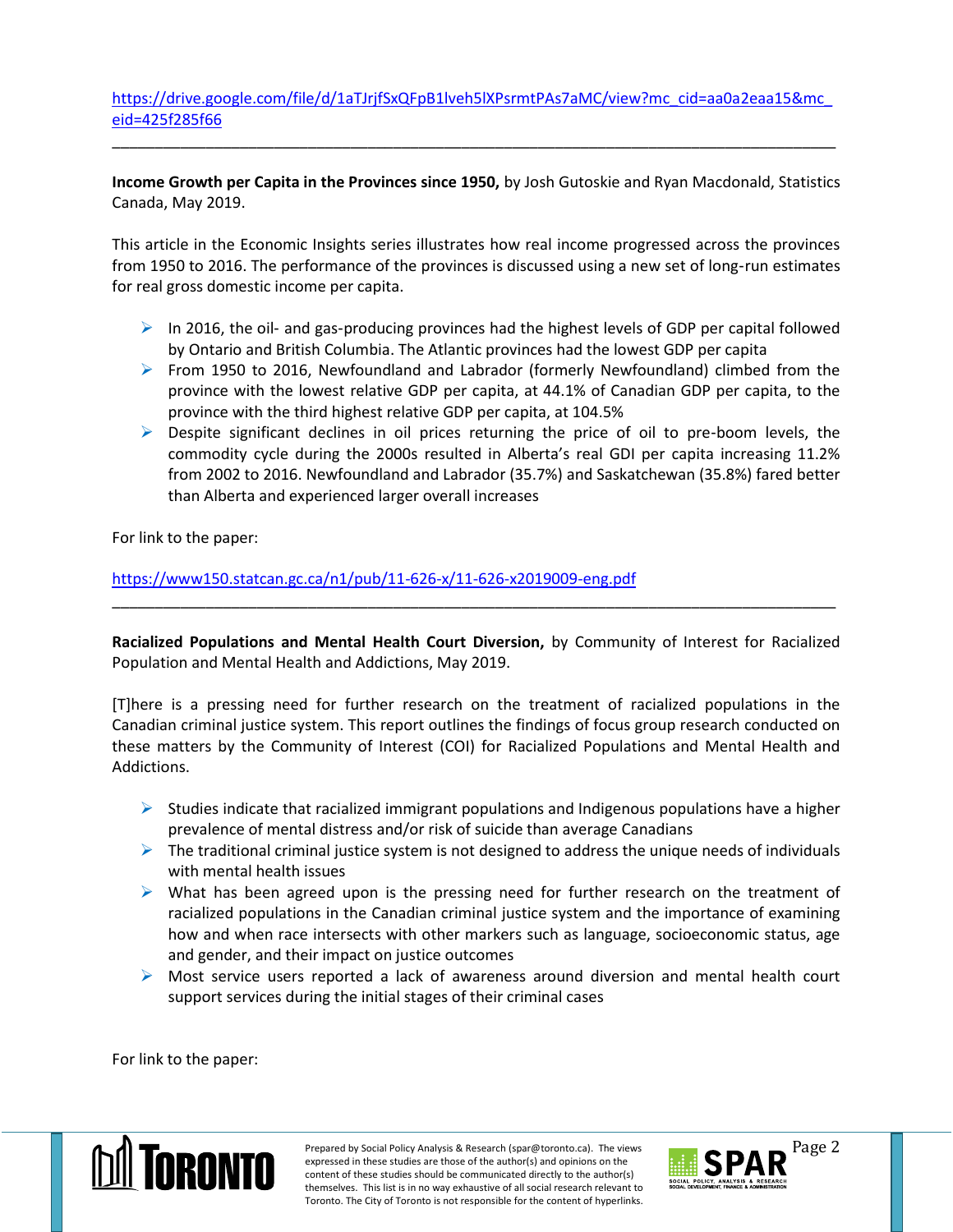[https://drive.google.com/file/d/1aTJrjfSxQFpB1lveh5lXPsrmtPAs7aMC/view?mc\\_cid=aa0a2eaa15&mc\\_](https://drive.google.com/file/d/1aTJrjfSxQFpB1lveh5lXPsrmtPAs7aMC/view?mc_cid=aa0a2eaa15&mc_eid=425f285f66) [eid=425f285f66](https://drive.google.com/file/d/1aTJrjfSxQFpB1lveh5lXPsrmtPAs7aMC/view?mc_cid=aa0a2eaa15&mc_eid=425f285f66)

\_\_\_\_\_\_\_\_\_\_\_\_\_\_\_\_\_\_\_\_\_\_\_\_\_\_\_\_\_\_\_\_\_\_\_\_\_\_\_\_\_\_\_\_\_\_\_\_\_\_\_\_\_\_\_\_\_\_\_\_\_\_\_\_\_\_\_\_\_\_\_\_\_\_\_\_\_\_\_\_\_\_\_\_\_

**Income Growth per Capita in the Provinces since 1950,** by Josh Gutoskie and Ryan Macdonald, Statistics Canada, May 2019.

This article in the Economic Insights series illustrates how real income progressed across the provinces from 1950 to 2016. The performance of the provinces is discussed using a new set of long-run estimates for real gross domestic income per capita.

- $\triangleright$  In 2016, the oil- and gas-producing provinces had the highest levels of GDP per capital followed by Ontario and British Columbia. The Atlantic provinces had the lowest GDP per capita
- From 1950 to 2016, Newfoundland and Labrador (formerly Newfoundland) climbed from the province with the lowest relative GDP per capita, at 44.1% of Canadian GDP per capita, to the province with the third highest relative GDP per capita, at 104.5%
- ▶ Despite significant declines in oil prices returning the price of oil to pre-boom levels, the commodity cycle during the 2000s resulted in Alberta's real GDI per capita increasing 11.2% from 2002 to 2016. Newfoundland and Labrador (35.7%) and Saskatchewan (35.8%) fared better than Alberta and experienced larger overall increases

For link to the paper:

<https://www150.statcan.gc.ca/n1/pub/11-626-x/11-626-x2019009-eng.pdf>

**Racialized Populations and Mental Health Court Diversion,** by Community of Interest for Racialized Population and Mental Health and Addictions, May 2019.

\_\_\_\_\_\_\_\_\_\_\_\_\_\_\_\_\_\_\_\_\_\_\_\_\_\_\_\_\_\_\_\_\_\_\_\_\_\_\_\_\_\_\_\_\_\_\_\_\_\_\_\_\_\_\_\_\_\_\_\_\_\_\_\_\_\_\_\_\_\_\_\_\_\_\_\_\_\_\_\_\_\_\_\_\_

[T]here is a pressing need for further research on the treatment of racialized populations in the Canadian criminal justice system. This report outlines the findings of focus group research conducted on these matters by the Community of Interest (COI) for Racialized Populations and Mental Health and Addictions.

- $\triangleright$  Studies indicate that racialized immigrant populations and Indigenous populations have a higher prevalence of mental distress and/or risk of suicide than average Canadians
- $\triangleright$  The traditional criminal justice system is not designed to address the unique needs of individuals with mental health issues
- $\triangleright$  What has been agreed upon is the pressing need for further research on the treatment of racialized populations in the Canadian criminal justice system and the importance of examining how and when race intersects with other markers such as language, socioeconomic status, age and gender, and their impact on justice outcomes
- $\triangleright$  Most service users reported a lack of awareness around diversion and mental health court support services during the initial stages of their criminal cases

For link to the paper: